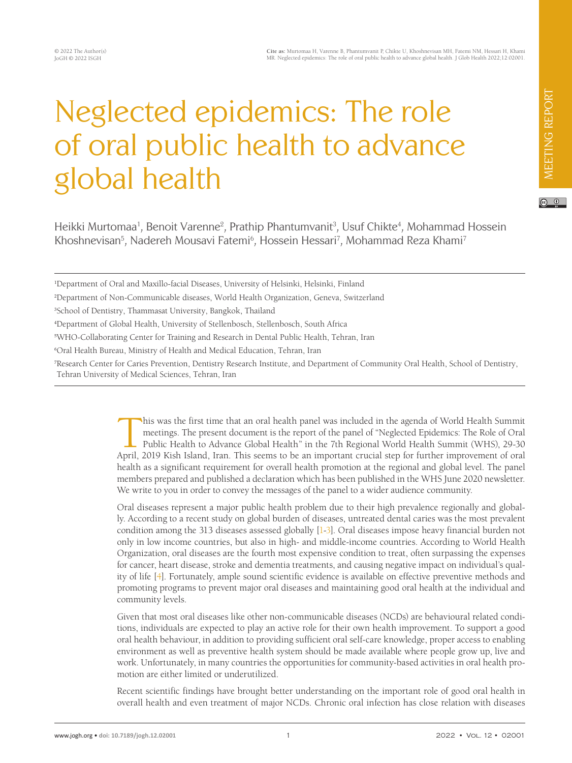## Neglected epidemics: The role of oral public health to advance global health

Heikki Murtomaa<sup>1</sup>, Benoit Varenne<sup>2</sup>, Prathip Phantumvanit<sup>3</sup>, Usuf Chikte<sup>4</sup>, Mohammad Hossein Khoshnevisan<sup>5</sup>, Nadereh Mousavi Fatemi<sup>6</sup>, Hossein Hessari<sup>7</sup>, Mohammad Reza Khami<sup>7</sup>

1 Department of Oral and Maxillo-facial Diseases, University of Helsinki, Helsinki, Finland

3 School of Dentistry, Thammasat University, Bangkok, Thailand

4 Department of Global Health, University of Stellenbosch, Stellenbosch, South Africa

5 WHO-Collaborating Center for Training and Research in Dental Public Health, Tehran, Iran

6 Oral Health Bureau, Ministry of Health and Medical Education, Tehran, Iran

7 Research Center for Caries Prevention, Dentistry Research Institute, and Department of Community Oral Health, School of Dentistry, Tehran University of Medical Sciences, Tehran, Iran

> This was the first time that an oral health panel was included in the agenda of World Health Summit<br>meetings. The present document is the report of the panel of "Neglected Epidemics: The Role of Oral<br>Public Health to Advan meetings. The present document is the report of the panel of "Neglected Epidemics: The Role of Oral Public Health to Advance Global Health" in the 7th Regional World Health Summit (WHS), 29-30 April, 2019 Kish Island, Iran. This seems to be an important crucial step for further improvement of oral health as a significant requirement for overall health promotion at the regional and global level. The panel members prepared and published a declaration which has been published in the WHS June 2020 newsletter. We write to you in order to convey the messages of the panel to a wider audience community.

> Oral diseases represent a major public health problem due to their high prevalence regionally and globally. According to a recent study on global burden of diseases, untreated dental caries was the most prevalent condition among the 313 diseases assessed globally [\[1](#page-2-0)[-3](#page-2-1)]. Oral diseases impose heavy financial burden not only in low income countries, but also in high- and middle-income countries. According to World Health Organization, oral diseases are the fourth most expensive condition to treat, often surpassing the expenses for cancer, heart disease, stroke and dementia treatments, and causing negative impact on individual's quality of life [\[4\]](#page-2-2). Fortunately, ample sound scientific evidence is available on effective preventive methods and promoting programs to prevent major oral diseases and maintaining good oral health at the individual and community levels.

> Given that most oral diseases like other non-communicable diseases (NCDs) are behavioural related conditions, individuals are expected to play an active role for their own health improvement. To support a good oral health behaviour, in addition to providing sufficient oral self-care knowledge, proper access to enabling environment as well as preventive health system should be made available where people grow up, live and work. Unfortunately, in many countries the opportunities for community-based activities in oral health promotion are either limited or underutilized.

> Recent scientific findings have brought better understanding on the important role of good oral health in overall health and even treatment of major NCDs. Chronic oral infection has close relation with diseases

<sup>2</sup> Department of Non-Communicable diseases, World Health Organization, Geneva, Switzerland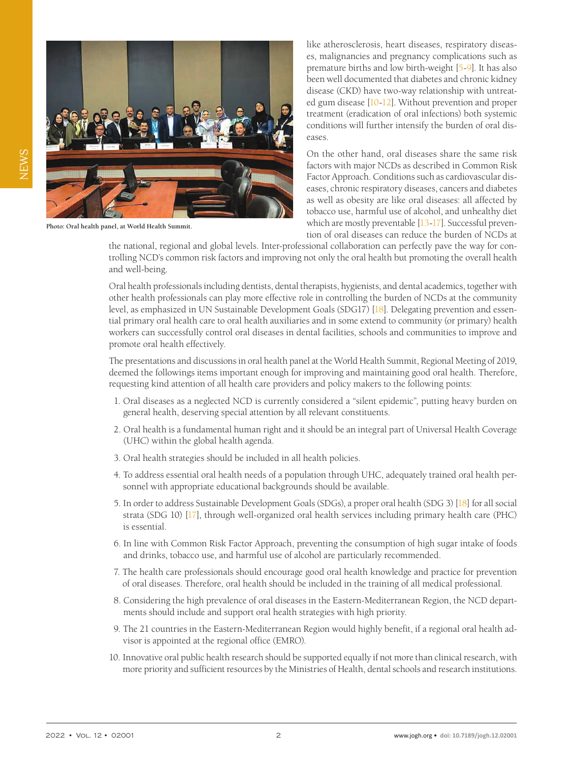

**Photo: Oral health panel, at World Health Summit.**

like atherosclerosis, heart diseases, respiratory diseases, malignancies and pregnancy complications such as premature births and low birth-weight [\[5-](#page-2-3)[9\]](#page-2-4). It has also been well documented that diabetes and chronic kidney disease (CKD) have two-way relationship with untreated gum disease [\[10](#page-2-5)[-12](#page-2-6)]. Without prevention and proper treatment (eradication of oral infections) both systemic conditions will further intensify the burden of oral diseases.

On the other hand, oral diseases share the same risk factors with major NCDs as described in Common Risk Factor Approach. Conditions such as cardiovascular diseases, chronic respiratory diseases, cancers and diabetes as well as obesity are like oral diseases: all affected by tobacco use, harmful use of alcohol, and unhealthy diet which are mostly preventable [\[13](#page-2-7)[-17](#page-2-8)]. Successful prevention of oral diseases can reduce the burden of NCDs at

the national, regional and global levels. Inter-professional collaboration can perfectly pave the way for controlling NCD's common risk factors and improving not only the oral health but promoting the overall health and well-being.

Oral health professionals including dentists, dental therapists, hygienists, and dental academics, together with other health professionals can play more effective role in controlling the burden of NCDs at the community level, as emphasized in UN Sustainable Development Goals (SDG17) [\[18](#page-2-9)]. Delegating prevention and essential primary oral health care to oral health auxiliaries and in some extend to community (or primary) health workers can successfully control oral diseases in dental facilities, schools and communities to improve and promote oral health effectively.

The presentations and discussions in oral health panel at the World Health Summit, Regional Meeting of 2019, deemed the followings items important enough for improving and maintaining good oral health. Therefore, requesting kind attention of all health care providers and policy makers to the following points:

- 1. Oral diseases as a neglected NCD is currently considered a "silent epidemic", putting heavy burden on general health, deserving special attention by all relevant constituents.
- 2. Oral health is a fundamental human right and it should be an integral part of Universal Health Coverage (UHC) within the global health agenda.
- 3. Oral health strategies should be included in all health policies.
- 4. To address essential oral health needs of a population through UHC, adequately trained oral health personnel with appropriate educational backgrounds should be available.
- 5. In order to address Sustainable Development Goals (SDGs), a proper oral health (SDG 3) [\[18](#page-2-9)] for all social strata (SDG 10) [\[17\]](#page-2-8), through well-organized oral health services including primary health care (PHC) is essential.
- 6. In line with Common Risk Factor Approach, preventing the consumption of high sugar intake of foods and drinks, tobacco use, and harmful use of alcohol are particularly recommended.
- 7. The health care professionals should encourage good oral health knowledge and practice for prevention of oral diseases. Therefore, oral health should be included in the training of all medical professional.
- 8. Considering the high prevalence of oral diseases in the Eastern-Mediterranean Region, the NCD departments should include and support oral health strategies with high priority.
- 9. The 21 countries in the Eastern-Mediterranean Region would highly benefit, if a regional oral health advisor is appointed at the regional office (EMRO).
- 10. Innovative oral public health research should be supported equally if not more than clinical research, with more priority and sufficient resources by the Ministries of Health, dental schools and research institutions.